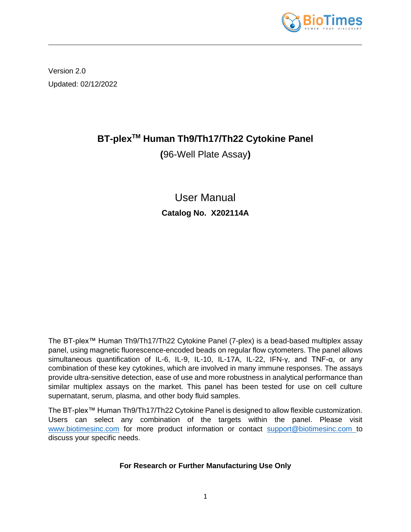

Version 2.0 Updated: 02/12/2022

# **BT-plexTM Human Th9/Th17/Th22 Cytokine Panel**

**(**96-Well Plate Assay**)**

User Manual **Catalog No. X202114A**

The BT-plex™ Human Th9/Th17/Th22 Cytokine Panel (7-plex) is a bead-based multiplex assay panel, using magnetic fluorescence-encoded beads on regular flow cytometers. The panel allows simultaneous quantification of IL-6, IL-9, IL-10, IL-17A, IL-22, IFN-γ, and TNF-α, or any combination of these key cytokines, which are involved in many immune responses. The assays provide ultra-sensitive detection, ease of use and more robustness in analytical performance than similar multiplex assays on the market. This panel has been tested for use on cell culture supernatant, serum, plasma, and other body fluid samples.

The BT-plex™ Human Th9/Th17/Th22 Cytokine Panel is designed to allow flexible customization. Users can select any combination of the targets within the panel. Please visit [www.biotimesinc.com](http://www.biotimesinc.com/) for more product information or contact [support@biotimesinc.com](mailto:support@biotimesinc.com) to discuss your specific needs.

# **For Research or Further Manufacturing Use Only**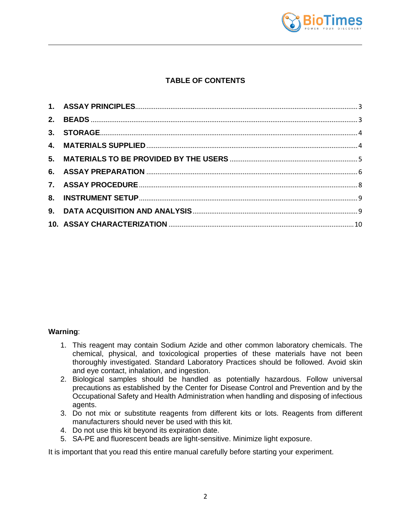

# **TABLE OF CONTENTS**

#### **Warning**:

- 1. This reagent may contain Sodium Azide and other common laboratory chemicals. The chemical, physical, and toxicological properties of these materials have not been thoroughly investigated. Standard Laboratory Practices should be followed. Avoid skin and eye contact, inhalation, and ingestion.
- 2. Biological samples should be handled as potentially hazardous. Follow universal precautions as established by the Center for Disease Control and Prevention and by the Occupational Safety and Health Administration when handling and disposing of infectious agents.
- 3. Do not mix or substitute reagents from different kits or lots. Reagents from different manufacturers should never be used with this kit.
- 4. Do not use this kit beyond its expiration date.
- 5. SA-PE and fluorescent beads are light-sensitive. Minimize light exposure.

It is important that you read this entire manual carefully before starting your experiment.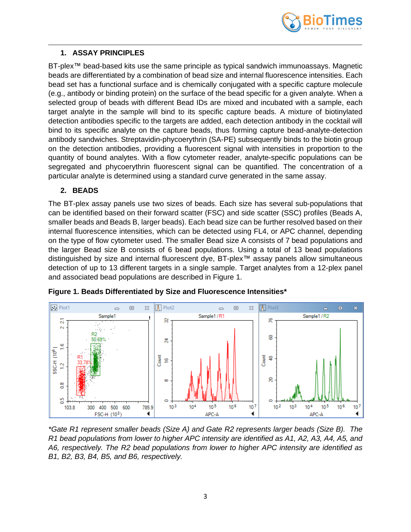

## <span id="page-2-0"></span>**1. ASSAY PRINCIPLES**

BT-plex™ bead-based kits use the same principle as typical sandwich immunoassays. Magnetic beads are differentiated by a combination of bead size and internal fluorescence intensities. Each bead set has a functional surface and is chemically conjugated with a specific capture molecule (e.g., antibody or binding protein) on the surface of the bead specific for a given analyte. When a selected group of beads with different Bead IDs are mixed and incubated with a sample, each target analyte in the sample will bind to its specific capture beads. A mixture of biotinylated detection antibodies specific to the targets are added, each detection antibody in the cocktail will bind to its specific analyte on the capture beads, thus forming capture bead-analyte-detection antibody sandwiches. Streptavidin-phycoerythrin (SA-PE) subsequently binds to the biotin group on the detection antibodies, providing a fluorescent signal with intensities in proportion to the quantity of bound analytes. With a flow cytometer reader, analyte-specific populations can be segregated and phycoerythrin fluorescent signal can be quantified. The concentration of a particular analyte is determined using a standard curve generated in the same assay.

## **2. BEADS**

<span id="page-2-1"></span>The BT-plex assay panels use two sizes of beads. Each size has several sub-populations that can be identified based on their forward scatter (FSC) and side scatter (SSC) profiles (Beads A, smaller beads and Beads B, larger beads). Each bead size can be further resolved based on their internal fluorescence intensities, which can be detected using FL4, or APC channel, depending on the type of flow cytometer used. The smaller Bead size A consists of 7 bead populations and the larger Bead size B consists of 6 bead populations. Using a total of 13 bead populations distinguished by size and internal fluorescent dye, BT-plex™ assay panels allow simultaneous detection of up to 13 different targets in a single sample. Target analytes from a 12-plex panel and associated bead populations are described in Figure 1.



**Figure 1. Beads Differentiated by Size and Fluorescence Intensities\***

*\*Gate R1 represent smaller beads (Size A) and Gate R2 represents larger beads (Size B). The R1 bead populations from lower to higher APC intensity are identified as A1, A2, A3, A4, A5, and A6, respectively. The R2 bead populations from lower to higher APC intensity are identified as B1, B2, B3, B4, B5, and B6, respectively.*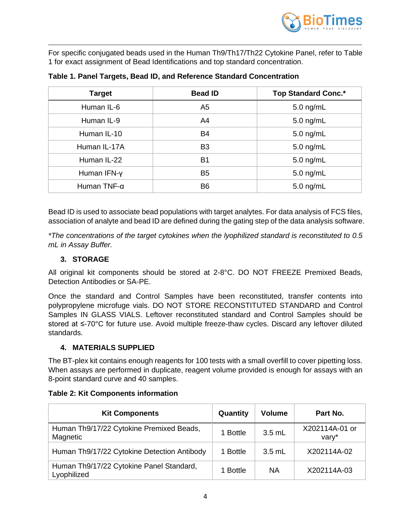

For specific conjugated beads used in the Human Th9/Th17/Th22 Cytokine Panel, refer to Table 1 for exact assignment of Bead Identifications and top standard concentration.

| <b>Target</b> | <b>Bead ID</b> | <b>Top Standard Conc.*</b> |
|---------------|----------------|----------------------------|
| Human IL-6    | A <sub>5</sub> | $5.0$ ng/mL                |
| Human IL-9    | A4             | $5.0$ ng/mL                |
| Human IL-10   | <b>B4</b>      | $5.0$ ng/mL                |
| Human IL-17A  | B <sub>3</sub> | $5.0$ ng/mL                |
| Human IL-22   | B1             | 5.0 ng/mL                  |
| Human IFN-y   | B <sub>5</sub> | $5.0$ ng/mL                |
| Human TNF-α   | B <sub>6</sub> | $5.0$ ng/mL                |

**Table 1. Panel Targets, Bead ID, and Reference Standard Concentration**

Bead ID is used to associate bead populations with target analytes. For data analysis of FCS files, association of analyte and bead ID are defined during the gating step of the data analysis software.

*\*The concentrations of the target cytokines when the lyophilized standard is reconstituted to 0.5 mL in Assay Buffer.*

# **3. STORAGE**

<span id="page-3-0"></span>All original kit components should be stored at 2-8°C. DO NOT FREEZE Premixed Beads, Detection Antibodies or SA-PE.

Once the standard and Control Samples have been reconstituted, transfer contents into polypropylene microfuge vials. DO NOT STORE RECONSTITUTED STANDARD and Control Samples IN GLASS VIALS. Leftover reconstituted standard and Control Samples should be stored at ≤-70°C for future use. Avoid multiple freeze-thaw cycles. Discard any leftover diluted standards.

## **4. MATERIALS SUPPLIED**

<span id="page-3-1"></span>The BT-plex kit contains enough reagents for 100 tests with a small overfill to cover pipetting loss. When assays are performed in duplicate, reagent volume provided is enough for assays with an 8-point standard curve and 40 samples.

|  | <b>Table 2: Kit Components information</b> |  |
|--|--------------------------------------------|--|
|--|--------------------------------------------|--|

| <b>Kit Components</b>                                   | Quantity | <b>Volume</b> | Part No.                |
|---------------------------------------------------------|----------|---------------|-------------------------|
| Human Th9/17/22 Cytokine Premixed Beads,<br>Magnetic    | 1 Bottle | $3.5$ mL      | X202114A-01 or<br>vary* |
| Human Th9/17/22 Cytokine Detection Antibody             | 1 Bottle | $3.5$ mL      | X202114A-02             |
| Human Th9/17/22 Cytokine Panel Standard,<br>Lyophilized | 1 Bottle | <b>NA</b>     | X202114A-03             |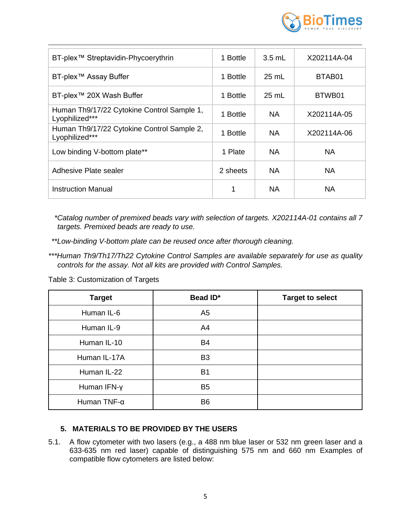

| BT-plex <sup>™</sup> Streptavidin-Phycoerythrin              | 1 Bottle | $3.5 \text{ mL}$ | X202114A-04 |
|--------------------------------------------------------------|----------|------------------|-------------|
| BT-plex™ Assay Buffer                                        | 1 Bottle | 25 mL            | BTAB01      |
| BT-plex™ 20X Wash Buffer                                     | 1 Bottle | $25 \text{ mL}$  | BTWB01      |
| Human Th9/17/22 Cytokine Control Sample 1,<br>Lyophilized*** | 1 Bottle | <b>NA</b>        | X202114A-05 |
| Human Th9/17/22 Cytokine Control Sample 2,<br>Lyophilized*** | 1 Bottle | NA.              | X202114A-06 |
| Low binding V-bottom plate**                                 | 1 Plate  | <b>NA</b>        | NA.         |
| Adhesive Plate sealer                                        | 2 sheets | <b>NA</b>        | NA          |
| Instruction Manual                                           |          | <b>NA</b>        | NA.         |

*\*Catalog number of premixed beads vary with selection of targets. X202114A-01 contains all 7 targets. Premixed beads are ready to use.*

- *\*\*Low-binding V-bottom plate can be reused once after thorough cleaning.*
- *\*\*\*Human Th9/Th17/Th22 Cytokine Control Samples are available separately for use as quality controls for the assay. Not all kits are provided with Control Samples.*

Table 3: Customization of Targets

| <b>Target</b> | Bead ID*       | <b>Target to select</b> |
|---------------|----------------|-------------------------|
| Human IL-6    | A <sub>5</sub> |                         |
| Human IL-9    | A4             |                         |
| Human IL-10   | <b>B4</b>      |                         |
| Human IL-17A  | B <sub>3</sub> |                         |
| Human IL-22   | B <sub>1</sub> |                         |
| Human IFN-y   | B <sub>5</sub> |                         |
| Human TNF-α   | B <sub>6</sub> |                         |

## <span id="page-4-0"></span>**5. MATERIALS TO BE PROVIDED BY THE USERS**

5.1. A flow cytometer with two lasers (e.g., a 488 nm blue laser or 532 nm green laser and a 633-635 nm red laser) capable of distinguishing 575 nm and 660 nm Examples of compatible flow cytometers are listed below: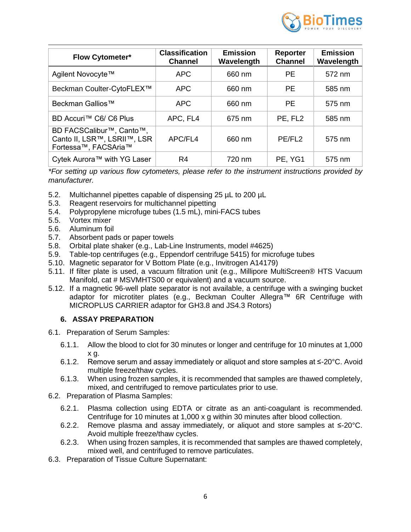

| <b>Flow Cytometer*</b>                                                                                    | <b>Classification</b><br><b>Channel</b> | <b>Emission</b><br>Wavelength | <b>Reporter</b><br><b>Channel</b> | <b>Emission</b><br>Wavelength |
|-----------------------------------------------------------------------------------------------------------|-----------------------------------------|-------------------------------|-----------------------------------|-------------------------------|
| Agilent Novocyte™                                                                                         | <b>APC</b>                              | 660 nm                        | <b>PE</b>                         | 572 nm                        |
| Beckman Coulter-CytoFLEX™                                                                                 | <b>APC</b>                              | 660 nm                        | <b>PE</b>                         | 585 nm                        |
| Beckman Gallios <sup>™</sup>                                                                              | <b>APC</b>                              | 660 nm                        | <b>PE</b>                         | 575 nm                        |
| BD Accuri™ C6/ C6 Plus                                                                                    | APC, FL4                                | 675 nm                        | PE, FL <sub>2</sub>               | 585 nm                        |
| BD FACSCalibur <sup>™</sup> , Canto <sup>™</sup> ,<br>Canto II, LSR™, LSRII™, LSR<br>Fortessa™, FACSAria™ | APC/FL4                                 | 660 nm                        | PE/FL <sub>2</sub>                | 575 nm                        |
| Cytek Aurora™ with YG Laser                                                                               | R4                                      | 720 nm                        | PE, YG1                           | 575 nm                        |

*\*For setting up various flow cytometers, please refer to the instrument instructions provided by manufacturer.*

- 5.2. Multichannel pipettes capable of dispensing 25 µL to 200 µL
- 5.3. Reagent reservoirs for multichannel pipetting
- 5.4. Polypropylene microfuge tubes (1.5 mL), mini-FACS tubes
- 5.5. Vortex mixer
- 5.6. Aluminum foil
- 5.7. Absorbent pads or paper towels
- 5.8. Orbital plate shaker (e.g., Lab-Line Instruments, model #4625)
- 5.9. Table-top centrifuges (e.g., Eppendorf centrifuge 5415) for microfuge tubes
- 5.10. Magnetic separator for V Bottom Plate (e.g., Invitrogen A14179)
- 5.11. If filter plate is used, a vacuum filtration unit (e.g., Millipore MultiScreen® HTS Vacuum Manifold, cat # MSVMHTS00 or equivalent) and a vacuum source.
- 5.12. If a magnetic 96-well plate separator is not available, a centrifuge with a swinging bucket adaptor for microtiter plates (e.g., Beckman Coulter Allegra™ 6R Centrifuge with MICROPLUS CARRIER adaptor for GH3.8 and JS4.3 Rotors)

#### <span id="page-5-0"></span>**6. ASSAY PREPARATION**

- 6.1. Preparation of Serum Samples:
	- 6.1.1. Allow the blood to clot for 30 minutes or longer and centrifuge for 10 minutes at 1,000 x g.
	- 6.1.2. Remove serum and assay immediately or aliquot and store samples at ≤-20°C. Avoid multiple freeze/thaw cycles.
	- 6.1.3. When using frozen samples, it is recommended that samples are thawed completely, mixed, and centrifuged to remove particulates prior to use.
- 6.2. Preparation of Plasma Samples:
	- 6.2.1. Plasma collection using EDTA or citrate as an anti-coagulant is recommended. Centrifuge for 10 minutes at 1,000 x g within 30 minutes after blood collection.
	- 6.2.2. Remove plasma and assay immediately, or aliquot and store samples at ≤-20°C. Avoid multiple freeze/thaw cycles.
	- 6.2.3. When using frozen samples, it is recommended that samples are thawed completely, mixed well, and centrifuged to remove particulates.
- 6.3. Preparation of Tissue Culture Supernatant: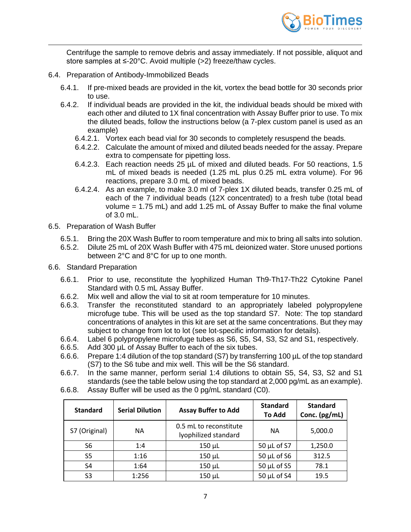

Centrifuge the sample to remove debris and assay immediately. If not possible, aliquot and store samples at ≤-20°C. Avoid multiple (>2) freeze/thaw cycles.

- 6.4. Preparation of Antibody-Immobilized Beads
	- 6.4.1. If pre-mixed beads are provided in the kit, vortex the bead bottle for 30 seconds prior to use.
	- 6.4.2. If individual beads are provided in the kit, the individual beads should be mixed with each other and diluted to 1X final concentration with Assay Buffer prior to use. To mix the diluted beads, follow the instructions below (a 7-plex custom panel is used as an example)
		- 6.4.2.1. Vortex each bead vial for 30 seconds to completely resuspend the beads.
		- 6.4.2.2. Calculate the amount of mixed and diluted beads needed for the assay. Prepare extra to compensate for pipetting loss.
		- 6.4.2.3. Each reaction needs 25 µL of mixed and diluted beads. For 50 reactions, 1.5 mL of mixed beads is needed (1.25 mL plus 0.25 mL extra volume). For 96 reactions, prepare 3.0 mL of mixed beads.
		- 6.4.2.4. As an example, to make 3.0 ml of 7-plex 1X diluted beads, transfer 0.25 mL of each of the 7 individual beads (12X concentrated) to a fresh tube (total bead volume = 1.75 mL) and add 1.25 mL of Assay Buffer to make the final volume of 3.0 mL.
- 6.5. Preparation of Wash Buffer
	- 6.5.1. Bring the 20X Wash Buffer to room temperature and mix to bring all salts into solution.
	- 6.5.2. Dilute 25 mL of 20X Wash Buffer with 475 mL deionized water. Store unused portions between 2°C and 8°C for up to one month.
- 6.6. Standard Preparation
	- 6.6.1. Prior to use, reconstitute the lyophilized Human Th9-Th17-Th22 Cytokine Panel Standard with 0.5 mL Assay Buffer.
	- 6.6.2. Mix well and allow the vial to sit at room temperature for 10 minutes.
	- 6.6.3. Transfer the reconstituted standard to an appropriately labeled polypropylene microfuge tube. This will be used as the top standard S7. Note: The top standard concentrations of analytes in this kit are set at the same concentrations. But they may subject to change from lot to lot (see lot-specific information for details).
	- 6.6.4. Label 6 polypropylene microfuge tubes as S6, S5, S4, S3, S2 and S1, respectively.
	- 6.6.5. Add 300 µL of Assay Buffer to each of the six tubes.
	- 6.6.6. Prepare 1:4 dilution of the top standard (S7) by transferring 100 µL of the top standard (S7) to the S6 tube and mix well. This will be the S6 standard.
	- 6.6.7. In the same manner, perform serial 1:4 dilutions to obtain S5, S4, S3, S2 and S1 standards (see the table below using the top standard at 2,000 pg/mL as an example).
	- 6.6.8. Assay Buffer will be used as the 0 pg/mL standard (C0).

| <b>Standard</b> | <b>Serial Dilution</b> | <b>Assay Buffer to Add</b>                     | <b>Standard</b><br><b>To Add</b> | <b>Standard</b><br>Conc. (pg/mL) |
|-----------------|------------------------|------------------------------------------------|----------------------------------|----------------------------------|
| S7 (Original)   | <b>NA</b>              | 0.5 mL to reconstitute<br>lyophilized standard | <b>NA</b>                        | 5,000.0                          |
| S6              | 1:4                    | $150 \mu L$                                    | 50 µL of S7                      | 1,250.0                          |
| S5              | 1:16                   | $150 \mu L$                                    | $50 \mu L$ of S6                 | 312.5                            |
| S4              | 1:64                   | $150 \mu L$                                    | $50$ µL of S5                    | 78.1                             |
| S <sub>3</sub>  | 1:256                  | $150 \mu L$                                    | 50 $\mu$ L of S4                 | 19.5                             |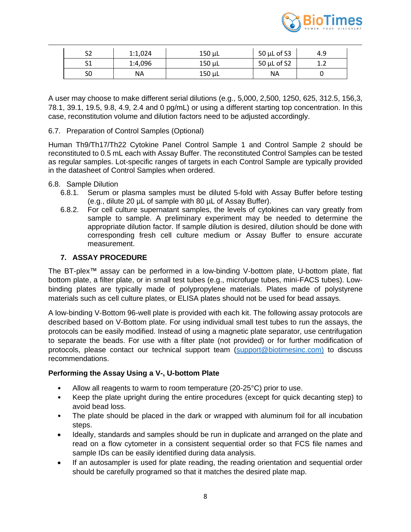

|    | 1:1,024 | 150 µL      | 50 $\mu$ L of S3 | 4.9 |
|----|---------|-------------|------------------|-----|
|    | 1:4,096 | $150 \mu L$ | 50 $\mu$ L of S2 |     |
| эı | NΑ      | 150 µL      | ΝA               |     |

A user may choose to make different serial dilutions (e.g., 5,000, 2,500, 1250, 625, 312.5, 156,3, 78.1, 39.1, 19.5, 9.8, 4.9, 2.4 and 0 pg/mL) or using a different starting top concentration. In this case, reconstitution volume and dilution factors need to be adjusted accordingly.

## 6.7. Preparation of Control Samples (Optional)

Human Th9/Th17/Th22 Cytokine Panel Control Sample 1 and Control Sample 2 should be reconstituted to 0.5 mL each with Assay Buffer. The reconstituted Control Samples can be tested as regular samples. Lot-specific ranges of targets in each Control Sample are typically provided in the datasheet of Control Samples when ordered.

#### 6.8. Sample Dilution

- 6.8.1. Serum or plasma samples must be diluted 5-fold with Assay Buffer before testing (e.g., dilute 20 µL of sample with 80 µL of Assay Buffer).
- 6.8.2. For cell culture supernatant samples, the levels of cytokines can vary greatly from sample to sample. A preliminary experiment may be needed to determine the appropriate dilution factor. If sample dilution is desired, dilution should be done with corresponding fresh cell culture medium or Assay Buffer to ensure accurate measurement.

#### **7. ASSAY PROCEDURE**

<span id="page-7-0"></span>The BT-plex™ assay can be performed in a low-binding V-bottom plate, U-bottom plate, flat bottom plate, a filter plate, or in small test tubes (e.g., microfuge tubes, mini-FACS tubes). Lowbinding plates are typically made of polypropylene materials. Plates made of polystyrene materials such as cell culture plates, or ELISA plates should not be used for bead assays.

A low-binding V-Bottom 96-well plate is provided with each kit. The following assay protocols are described based on V-Bottom plate. For using individual small test tubes to run the assays, the protocols can be easily modified. Instead of using a magnetic plate separator, use centrifugation to separate the beads. For use with a filter plate (not provided) or for further modification of protocols, please contact our technical support team [\(support@biotimesinc.com\)](mailto:support@biotimesinc.com) to discuss recommendations.

## **Performing the Assay Using a V-, U-bottom Plate**

- Allow all reagents to warm to room temperature (20-25°C) prior to use.
- Keep the plate upright during the entire procedures (except for quick decanting step) to avoid bead loss.
- The plate should be placed in the dark or wrapped with aluminum foil for all incubation steps.
- Ideally, standards and samples should be run in duplicate and arranged on the plate and read on a flow cytometer in a consistent sequential order so that FCS file names and sample IDs can be easily identified during data analysis.
- If an autosampler is used for plate reading, the reading orientation and sequential order should be carefully programed so that it matches the desired plate map.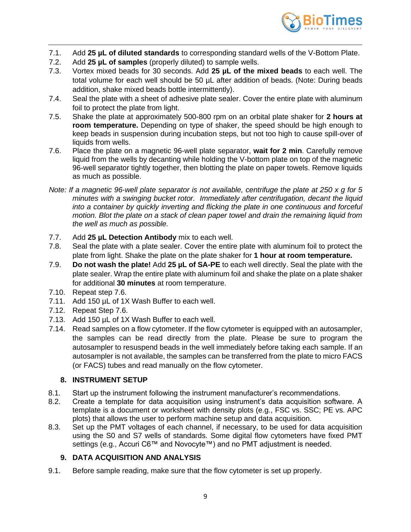

- 7.1. Add **25 µL of diluted standards** to corresponding standard wells of the V-Bottom Plate.
- 7.2. Add **25 µL of samples** (properly diluted) to sample wells.
- 7.3. Vortex mixed beads for 30 seconds. Add **25 µL of the mixed beads** to each well. The total volume for each well should be 50 µL after addition of beads. (Note: During beads addition, shake mixed beads bottle intermittently).
- 7.4. Seal the plate with a sheet of adhesive plate sealer. Cover the entire plate with aluminum foil to protect the plate from light.
- 7.5. Shake the plate at approximately 500-800 rpm on an orbital plate shaker for **2 hours at room temperature.** Depending on type of shaker, the speed should be high enough to keep beads in suspension during incubation steps, but not too high to cause spill-over of liquids from wells.
- 7.6. Place the plate on a magnetic 96-well plate separator, **wait for 2 min**. Carefully remove liquid from the wells by decanting while holding the V-bottom plate on top of the magnetic 96-well separator tightly together, then blotting the plate on paper towels. Remove liquids as much as possible.
- *Note: If a magnetic 96-well plate separator is not available, centrifuge the plate at 250 x g for 5 minutes with a swinging bucket rotor. Immediately after centrifugation, decant the liquid into a container by quickly inverting and flicking the plate in one continuous and forceful motion. Blot the plate on a stack of clean paper towel and drain the remaining liquid from the well as much as possible.*
- 7.7. Add **25 µL Detection Antibody** mix to each well.
- 7.8. Seal the plate with a plate sealer. Cover the entire plate with aluminum foil to protect the plate from light. Shake the plate on the plate shaker for **1 hour at room temperature.**
- 7.9. **Do not wash the plate!** Add **25 µL of SA-PE** to each well directly. Seal the plate with the plate sealer. Wrap the entire plate with aluminum foil and shake the plate on a plate shaker for additional **30 minutes** at room temperature.
- 7.10. Repeat step 7.6.
- 7.11. Add 150 µL of 1X Wash Buffer to each well.
- 7.12. Repeat Step 7.6.
- 7.13. Add 150 µL of 1X Wash Buffer to each well.
- 7.14. Read samples on a flow cytometer. If the flow cytometer is equipped with an autosampler, the samples can be read directly from the plate. Please be sure to program the autosampler to resuspend beads in the well immediately before taking each sample. If an autosampler is not available, the samples can be transferred from the plate to micro FACS (or FACS) tubes and read manually on the flow cytometer.

## **8. INSTRUMENT SETUP**

- <span id="page-8-0"></span>8.1. Start up the instrument following the instrument manufacturer's recommendations.
- 8.2. Create a template for data acquisition using instrument's data acquisition software. A template is a document or worksheet with density plots (e.g., FSC vs. SSC; PE vs. APC plots) that allows the user to perform machine setup and data acquisition.
- 8.3. Set up the PMT voltages of each channel, if necessary, to be used for data acquisition using the S0 and S7 wells of standards. Some digital flow cytometers have fixed PMT settings (e.g., Accuri C6™ and Novocyte™) and no PMT adjustment is needed.

## **9. DATA ACQUISITION AND ANALYSIS**

<span id="page-8-1"></span>9.1. Before sample reading, make sure that the flow cytometer is set up properly.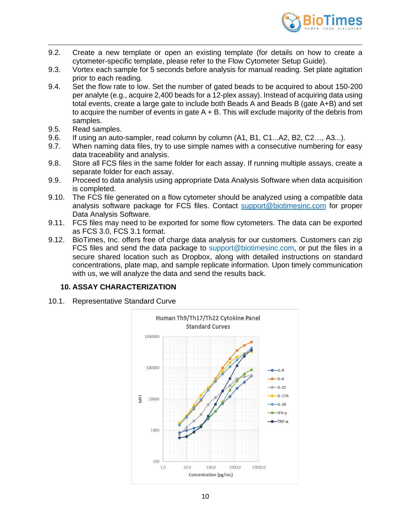

- 9.2. Create a new template or open an existing template (for details on how to create a cytometer-specific template, please refer to the Flow Cytometer Setup Guide).
- 9.3. Vortex each sample for 5 seconds before analysis for manual reading. Set plate agitation prior to each reading.
- 9.4. Set the flow rate to low. Set the number of gated beads to be acquired to about 150-200 per analyte (e.g., acquire 2,400 beads for a 12-plex assay). Instead of acquiring data using total events, create a large gate to include both Beads A and Beads B (gate A+B) and set to acquire the number of events in gate  $A + B$ . This will exclude majority of the debris from samples.
- 9.5. Read samples.
- 9.6. If using an auto-sampler, read column by column (A1, B1, C1...A2, B2, C2…, A3...).
- 9.7. When naming data files, try to use simple names with a consecutive numbering for easy data traceability and analysis.
- 9.8. Store all FCS files in the same folder for each assay. If running multiple assays, create a separate folder for each assay.
- 9.9. Proceed to data analysis using appropriate Data Analysis Software when data acquisition is completed.
- 9.10. The FCS file generated on a flow cytometer should be analyzed using a compatible data analysis software package for FCS files. Contact [support@biotimesinc.com](mailto:support@biotimesinc.com) for proper Data Analysis Software.
- 9.11. FCS files may need to be exported for some flow cytometers. The data can be exported as FCS 3.0, FCS 3.1 format.
- 9.12. BioTimes, Inc. offers free of charge data analysis for our customers. Customers can zip FCS files and send the data package to support@biotimesinc.com, or put the files in a secure shared location such as Dropbox, along with detailed instructions on standard concentrations, plate map, and sample replicate information. Upon timely communication with us, we will analyze the data and send the results back.

## <span id="page-9-0"></span>**10. ASSAY CHARACTERIZATION**

10.1. Representative Standard Curve

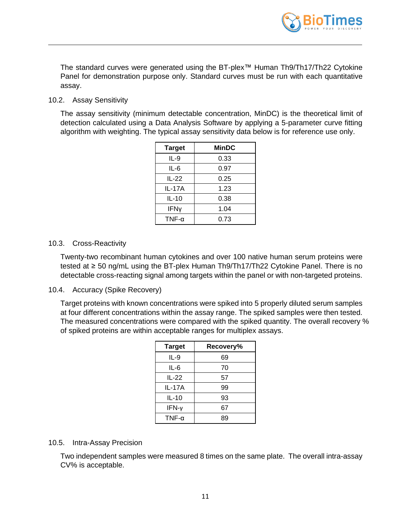

The standard curves were generated using the BT-plex™ Human Th9/Th17/Th22 Cytokine Panel for demonstration purpose only. Standard curves must be run with each quantitative assay.

#### 10.2. Assay Sensitivity

The assay sensitivity (minimum detectable concentration, MinDC) is the theoretical limit of detection calculated using a Data Analysis Software by applying a 5-parameter curve fitting algorithm with weighting. The typical assay sensitivity data below is for reference use only.

| <b>Target</b> | <b>MinDC</b> |
|---------------|--------------|
| IL-9          | 0.33         |
| IL-6          | 0.97         |
| IL-22         | 0.25         |
| IL-17A        | 1.23         |
| IL-10         | 0.38         |
| <b>IFNy</b>   | 1.04         |
| TNF- $\alpha$ | 0.73         |

#### 10.3. Cross-Reactivity

Twenty-two recombinant human cytokines and over 100 native human serum proteins were tested at ≥ 50 ng/mL using the BT-plex Human Th9/Th17/Th22 Cytokine Panel. There is no detectable cross-reacting signal among targets within the panel or with non-targeted proteins.

#### 10.4. Accuracy (Spike Recovery)

Target proteins with known concentrations were spiked into 5 properly diluted serum samples at four different concentrations within the assay range. The spiked samples were then tested. The measured concentrations were compared with the spiked quantity. The overall recovery % of spiked proteins are within acceptable ranges for multiplex assays.

| <b>Target</b> | Recovery% |
|---------------|-----------|
| IL-9          | 69        |
| IL-6          | 70        |
| IL-22         | 57        |
| IL-17A        | 99        |
| $IL-10$       | 93        |
| $IFN-\gamma$  | 67        |
| TNF- $\alpha$ | 89        |

#### 10.5. Intra-Assay Precision

Two independent samples were measured 8 times on the same plate. The overall intra-assay CV% is acceptable.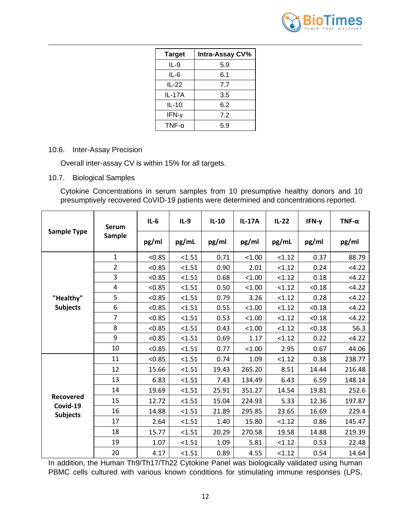

| <b>Target</b> | Intra-Assay CV% |
|---------------|-----------------|
| IL-9          | 5.9             |
| IL-6          | 6.1             |
| IL-22         | 7.7             |
| IL-17A        | 3.5             |
| $IL-10$       | 6.2             |
| $IFN-\gamma$  | 7.2             |
| TNF- $\alpha$ | 5.9             |

# 10.6. Inter-Assay Precision

Overall inter-assay CV is within 15% for all targets.

10.7. Biological Samples

Cytokine Concentrations in serum samples from 10 presumptive healthy donors and 10 presumptively recovered CoVID-19 patients were determined and concentrations reported.

| <b>Sample Type</b>                       | <b>Serum</b><br><b>Sample</b> | $IL-6$ | $IL-9$ | $IL-10$ | <b>IL-17A</b> | $IL-22$ | IFN-γ  | $TNF-\alpha$ |
|------------------------------------------|-------------------------------|--------|--------|---------|---------------|---------|--------|--------------|
|                                          |                               | pg/ml  | pg/mL  | pg/ml   | pg/ml         | pg/mL   | pg/ml  | pg/ml        |
| "Healthy"<br><b>Subjects</b>             | $\mathbf{1}$                  | < 0.85 | < 1.51 | 0.71    | < 1.00        | < 1.12  | 0.37   | 88.79        |
|                                          | $\overline{2}$                | < 0.85 | < 1.51 | 0.90    | 2.01          | < 1.12  | 0.24   | <4.22        |
|                                          | 3                             | < 0.85 | < 1.51 | 0.68    | < 1.00        | < 1.12  | 0.18   | <4.22        |
|                                          | 4                             | < 0.85 | < 1.51 | 0.50    | < 1.00        | < 1.12  | < 0.18 | <4.22        |
|                                          | 5                             | < 0.85 | < 1.51 | 0.79    | 3.26          | < 1.12  | 0.28   | < 4.22       |
|                                          | 6                             | < 0.85 | < 1.51 | 0.55    | < 1.00        | < 1.12  | < 0.18 | < 4.22       |
|                                          | $\overline{7}$                | < 0.85 | < 1.51 | 0.53    | < 1.00        | < 1.12  | < 0.18 | 4.22         |
|                                          | 8                             | < 0.85 | < 1.51 | 0.43    | 1.00          | < 1.12  | < 0.18 | 56.3         |
|                                          | 9                             | < 0.85 | < 1.51 | 0.69    | 1.17          | < 1.12  | 0.22   | < 4.22       |
|                                          | 10                            | < 0.85 | < 1.51 | 0.77    | < 1.00        | 2.95    | 0.67   | 44.06        |
| Recovered<br>Covid-19<br><b>Subjects</b> | 11                            | < 0.85 | < 1.51 | 0.74    | 1.09          | < 1.12  | 0.38   | 238.77       |
|                                          | 12                            | 15.66  | < 1.51 | 19.43   | 265.20        | 8.51    | 14.44  | 216.48       |
|                                          | 13                            | 6.83   | < 1.51 | 7.43    | 134.49        | 6.43    | 6.59   | 148.14       |
|                                          | 14                            | 19.69  | < 1.51 | 25.91   | 351.27        | 14.54   | 19.81  | 252.6        |
|                                          | 15                            | 12.72  | < 1.51 | 15.04   | 224.93        | 5.33    | 12.36  | 197.87       |
|                                          | 16                            | 14.88  | < 1.51 | 21.89   | 295.85        | 23.65   | 16.69  | 229.4        |
|                                          | 17                            | 2.64   | < 1.51 | 1.40    | 15.80         | < 1.12  | 0.86   | 145.47       |
|                                          | 18                            | 15.77  | < 1.51 | 20.29   | 270.58        | 19.58   | 14.88  | 219.39       |
|                                          | 19                            | 1.07   | < 1.51 | 1.09    | 5.81          | < 1.12  | 0.53   | 22.48        |
|                                          | 20                            | 4.17   | < 1.51 | 0.89    | 4.55          | < 1.12  | 0.54   | 14.64        |

In addition, the Human Th9/Th17/Th22 Cytokine Panel was biologically validated using human PBMC cells cultured with various known conditions for stimulating immune responses (LPS,